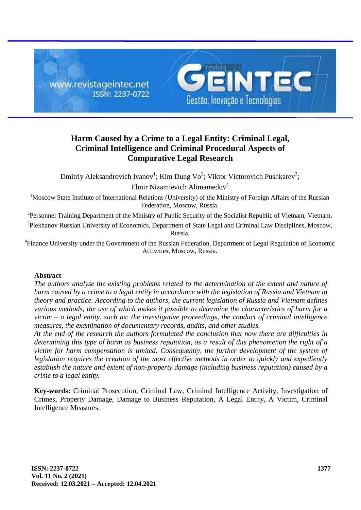

# **Harm Caused by a Crime to a Legal Entity: Criminal Legal, Criminal Intelligence and Criminal Procedural Aspects of Comparative Legal Research**

Dmitriy Aleksandrovich Ivanov<sup>1</sup>; Kim Dung Vo<sup>2</sup>; Viktor Victorovich Pushkarev<sup>3</sup>;

Elmir Nizamievich Alimamedov<sup>4</sup>

<sup>1</sup>Moscow State Institute of International Relations (University) of the Ministry of Foreign Affairs of the Russian Federation, Moscow, Russia.

<sup>2</sup>Personnel Training Department of the Ministry of Public Security of the Socialist Republic of Vietnam, Vietnam.

<sup>3</sup>Plekhanov Russian University of Economics, Department of State Legal and Criminal Law Disciplines, Moscow, Russia.

<sup>4</sup> Finance University under the Government of the Russian Federation, Department of Legal Regulation of Economic Activities, Moscow, Russia.

## **Abstract**

*The authors analyse the existing problems related to the determination of the extent and nature of harm caused by a crime to a legal entity in accordance with the legislation of Russia and Vietnam in theory and practice. According to the authors, the current legislation of Russia and Vietnam defines various methods, the use of which makes it possible to determine the characteristics of harm for a victim – a legal entity, such as: the investigative proceedings, the conduct of criminal intelligence measures, the examination of documentary records, audits, and other studies.*

*At the end of the research the authors formulated the conclusion that now there are difficulties in determining this type of harm as business reputation, as a result of this phenomenon the right of a*  victim for harm compensation is limited. Consequently, the further development of the system of *legislation requires the creation of the most effective methods in order to quickly and expediently establish the nature and extent of non-property damage (including business reputation) caused by a crime to a legal entity.*

**Key-words:** Criminal Prosecution, Criminal Law, Criminal Intelligence Activity, Investigation of Crimes, Property Damage, Damage to Business Reputation, A Legal Entity, A Victim, Criminal Intelligence Measures.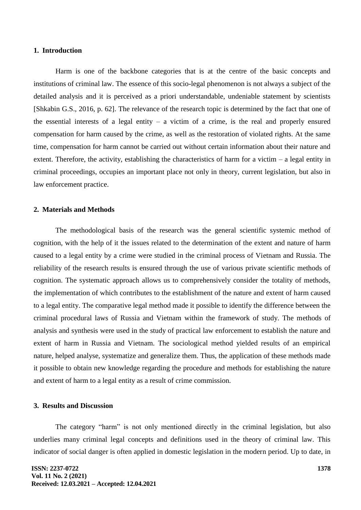#### **1. Introduction**

Harm is one of the backbone categories that is at the centre of the basic concepts and institutions of criminal law. The essence of this socio-legal phenomenon is not always a subject of the detailed analysis and it is perceived as a priori understandable, undeniable statement by scientists [Shkabin G.S., 2016, p. 62]. The relevance of the research topic is determined by the fact that one of the essential interests of a legal entity  $-$  a victim of a crime, is the real and properly ensured compensation for harm caused by the crime, as well as the restoration of violated rights. At the same time, compensation for harm cannot be carried out without certain information about their nature and extent. Therefore, the activity, establishing the characteristics of harm for a victim – a legal entity in criminal proceedings, occupies an important place not only in theory, current legislation, but also in law enforcement practice.

## **2. Materials and Methods**

The methodological basis of the research was the general scientific systemic method of cognition, with the help of it the issues related to the determination of the extent and nature of harm caused to a legal entity by a crime were studied in the criminal process of Vietnam and Russia. The reliability of the research results is ensured through the use of various private scientific methods of cognition. The systematic approach allows us to comprehensively consider the totality of methods, the implementation of which contributes to the establishment of the nature and extent of harm caused to a legal entity. The comparative legal method made it possible to identify the difference between the criminal procedural laws of Russia and Vietnam within the framework of study. The methods of analysis and synthesis were used in the study of practical law enforcement to establish the nature and extent of harm in Russia and Vietnam. The sociological method yielded results of an empirical nature, helped analyse, systematize and generalize them. Thus, the application of these methods made it possible to obtain new knowledge regarding the procedure and methods for establishing the nature and extent of harm to a legal entity as a result of crime commission.

#### **3. Results and Discussion**

The category "harm" is not only mentioned directly in the criminal legislation, but also underlies many criminal legal concepts and definitions used in the theory of criminal law. This indicator of social danger is often applied in domestic legislation in the modern period. Up to date, in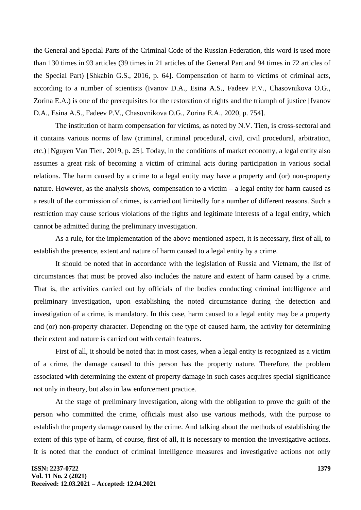the General and Special Parts of the Criminal Code of the Russian Federation, this word is used more than 130 times in 93 articles (39 times in 21 articles of the General Part and 94 times in 72 articles of the Special Part) [Shkabin G.S., 2016, p. 64]. Compensation of harm to victims of criminal acts, according to a number of scientists (Ivanov D.A., Esina A.S., Fadeev P.V., Chasovnikova O.G., Zorina E.A.) is one of the prerequisites for the restoration of rights and the triumph of justice [Ivanov D.A., Esina A.S., Fadeev P.V., Chasovnikova O.G., Zorina E.A., 2020, p. 754].

The institution of harm compensation for victims, as noted by N.V. Tien, is cross-sectoral and it contains various norms of law (criminal, criminal procedural, civil, civil procedural, arbitration, etc.) [Nguyen Van Tien, 2019, p. 25]. Today, in the conditions of market economy, a legal entity also assumes a great risk of becoming a victim of criminal acts during participation in various social relations. The harm caused by a crime to a legal entity may have a property and (or) non-property nature. However, as the analysis shows, compensation to a victim – a legal entity for harm caused as a result of the commission of crimes, is carried out limitedly for a number of different reasons. Such a restriction may cause serious violations of the rights and legitimate interests of a legal entity, which cannot be admitted during the preliminary investigation.

As a rule, for the implementation of the above mentioned aspect, it is necessary, first of all, to establish the presence, extent and nature of harm caused to a legal entity by a crime.

It should be noted that in accordance with the legislation of Russia and Vietnam, the list of circumstances that must be proved also includes the nature and extent of harm caused by a crime. That is, the activities carried out by officials of the bodies conducting criminal intelligence and preliminary investigation, upon establishing the noted circumstance during the detection and investigation of a crime, is mandatory. In this case, harm caused to a legal entity may be a property and (or) non-property character. Depending on the type of caused harm, the activity for determining their extent and nature is carried out with certain features.

First of all, it should be noted that in most cases, when a legal entity is recognized as a victim of a crime, the damage caused to this person has the property nature. Therefore, the problem associated with determining the extent of property damage in such cases acquires special significance not only in theory, but also in law enforcement practice.

At the stage of preliminary investigation, along with the obligation to prove the guilt of the person who committed the crime, officials must also use various methods, with the purpose to establish the property damage caused by the crime. And talking about the methods of establishing the extent of this type of harm, of course, first of all, it is necessary to mention the investigative actions. It is noted that the conduct of criminal intelligence measures and investigative actions not only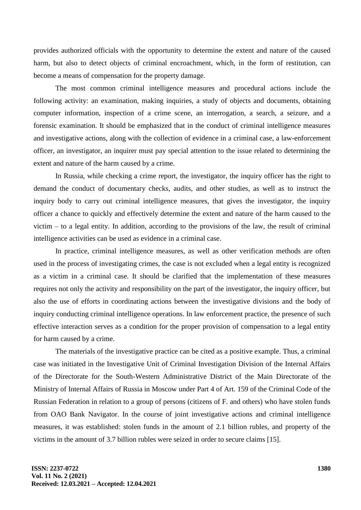provides authorized officials with the opportunity to determine the extent and nature of the caused harm, but also to detect objects of criminal encroachment, which, in the form of restitution, can become a means of compensation for the property damage.

The most common criminal intelligence measures and procedural actions include the following activity: an examination, making inquiries, a study of objects and documents, obtaining computer information, inspection of a crime scene, an interrogation, a search, a seizure, and a forensic examination. It should be emphasized that in the conduct of criminal intelligence measures and investigative actions, along with the collection of evidence in a criminal case, a law-enforcement officer, an investigator, an inquirer must pay special attention to the issue related to determining the extent and nature of the harm caused by a crime.

In Russia, while checking a crime report, the investigator, the inquiry officer has the right to demand the conduct of documentary checks, audits, and other studies, as well as to instruct the inquiry body to carry out criminal intelligence measures, that gives the investigator, the inquiry officer a chance to quickly and effectively determine the extent and nature of the harm caused to the victim – to a legal entity. In addition, according to the provisions of the law, the result of criminal intelligence activities can be used as evidence in a criminal case.

In practice, criminal intelligence measures, as well as other verification methods are often used in the process of investigating crimes, the case is not excluded when a legal entity is recognized as a victim in a criminal case. It should be clarified that the implementation of these measures requires not only the activity and responsibility on the part of the investigator, the inquiry officer, but also the use of efforts in coordinating actions between the investigative divisions and the body of inquiry conducting criminal intelligence operations. In law enforcement practice, the presence of such effective interaction serves as a condition for the proper provision of compensation to a legal entity for harm caused by a crime.

The materials of the investigative practice can be cited as a positive example. Thus, a criminal case was initiated in the Investigative Unit of Criminal Investigation Division of the Internal Affairs of the Directorate for the South-Western Administrative District of the Main Directorate of the Ministry of Internal Affairs of Russia in Moscow under Part 4 of Art. 159 of the Criminal Code of the Russian Federation in relation to a group of persons (citizens of F. and others) who have stolen funds from OAO Bank Navigator. In the course of joint investigative actions and criminal intelligence measures, it was established: stolen funds in the amount of 2.1 billion rubles, and property of the victims in the amount of 3.7 billion rubles were seized in order to secure claims [15].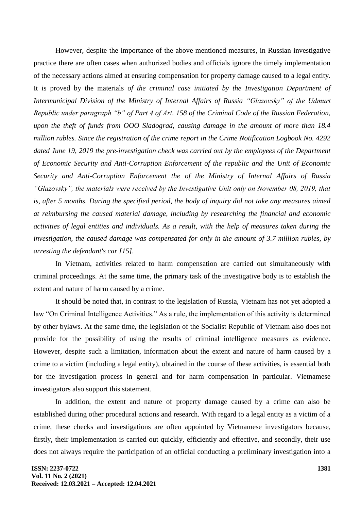However, despite the importance of the above mentioned measures, in Russian investigative practice there are often cases when authorized bodies and officials ignore the timely implementation of the necessary actions aimed at ensuring compensation for property damage caused to a legal entity. It is proved by the materials *of the criminal case initiated by the Investigation Department of Intermunicipal Division of the Ministry of Internal Affairs of Russia "Glazovsky" of the Udmurt Republic under paragraph "b" of Part 4 of Art. 158 of the Criminal Code of the Russian Federation, upon the theft of funds from OOO Sladograd, causing damage in the amount of more than 18.4 million rubles. Since the registration of the crime report in the Crime Notification Logbook No. 4292 dated June 19, 2019 the pre-investigation check was carried out by the employees of the Department of Economic Security and Anti-Corruption Enforcement of the republic and the Unit of Economic Security and Anti-Corruption Enforcement the of the Ministry of Internal Affairs of Russia "Glazovsky", the materials were received by the Investigative Unit only on November 08, 2019, that is, after 5 months. During the specified period, the body of inquiry did not take any measures aimed at reimbursing the caused material damage, including by researching the financial and economic activities of legal entities and individuals. As a result, with the help of measures taken during the investigation, the caused damage was compensated for only in the amount of 3.7 million rubles, by arresting the defendant's car [15].*

In Vietnam, activities related to harm compensation are carried out simultaneously with criminal proceedings. At the same time, the primary task of the investigative body is to establish the extent and nature of harm caused by a crime.

It should be noted that, in contrast to the legislation of Russia, Vietnam has not yet adopted a law "On Criminal Intelligence Activities." As a rule, the implementation of this activity is determined by other bylaws. At the same time, the legislation of the Socialist Republic of Vietnam also does not provide for the possibility of using the results of criminal intelligence measures as evidence. However, despite such a limitation, information about the extent and nature of harm caused by a crime to a victim (including a legal entity), obtained in the course of these activities, is essential both for the investigation process in general and for harm compensation in particular. Vietnamese investigators also support this statement.

In addition, the extent and nature of property damage caused by a crime can also be established during other procedural actions and research. With regard to a legal entity as a victim of a crime, these checks and investigations are often appointed by Vietnamese investigators because, firstly, their implementation is carried out quickly, efficiently and effective, and secondly, their use does not always require the participation of an official conducting a preliminary investigation into a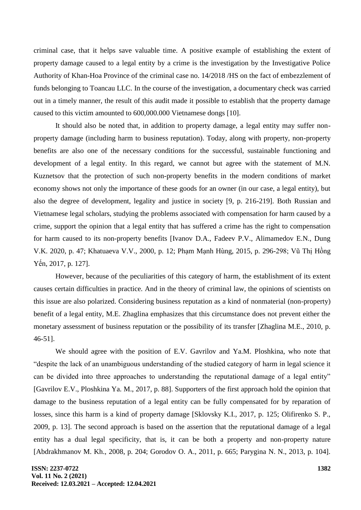criminal case, that it helps save valuable time. A positive example of establishing the extent of property damage caused to a legal entity by a crime is the investigation by the Investigative Police Authority of Khan-Hoa Province of the criminal case no. 14/2018 /HS on the fact of embezzlement of funds belonging to Toancau LLC. In the course of the investigation, a documentary check was carried out in a timely manner, the result of this audit made it possible to establish that the property damage caused to this victim amounted to 600,000.000 Vietnamese dongs [10].

It should also be noted that, in addition to property damage, a legal entity may suffer nonproperty damage (including harm to business reputation). Today, along with property, non-property benefits are also one of the necessary conditions for the successful, sustainable functioning and development of a legal entity. In this regard, we cannot but agree with the statement of M.N. Kuznetsov that the protection of such non-property benefits in the modern conditions of market economy shows not only the importance of these goods for an owner (in our case, a legal entity), but also the degree of development, legality and justice in society [9, p. 216-219]. Both Russian and Vietnamese legal scholars, studying the problems associated with compensation for harm caused by a crime, support the opinion that a legal entity that has suffered a crime has the right to compensation for harm caused to its non-property benefits [Ivanov D.A., Fadeev P.V., Alimamedov E.N., Dung V.K. 2020, p. 47; Khatuaeva V.V., 2000, p. 12; Phạm Mạnh Hùng, 2015, p. 296-298; Vũ Thị Hồng Yến, 2017, p. 127].

However, because of the peculiarities of this category of harm, the establishment of its extent causes certain difficulties in practice. And in the theory of criminal law, the opinions of scientists on this issue are also polarized. Considering business reputation as a kind of nonmaterial (non-property) benefit of a legal entity, M.E. Zhaglina emphasizes that this circumstance does not prevent either the monetary assessment of business reputation or the possibility of its transfer [Zhaglina M.E., 2010, p. 46-51].

We should agree with the position of E.V. Gavrilov and Ya.M. Ploshkina, who note that "despite the lack of an unambiguous understanding of the studied category of harm in legal science it can be divided into three approaches to understanding the reputational damage of a legal entity" [Gavrilov E.V., Ploshkina Ya. M., 2017, p. 88]. Supporters of the first approach hold the opinion that damage to the business reputation of a legal entity can be fully compensated for by reparation of losses, since this harm is a kind of property damage [Sklovsky K.I., 2017, p. 125; Olifirenko S. P., 2009, p. 13]. The second approach is based on the assertion that the reputational damage of a legal entity has a dual legal specificity, that is, it can be both a property and non-property nature [Abdrakhmanov M. Kh., 2008, p. 204; Gorodov O. A., 2011, p. 665; Parygina N. N., 2013, p. 104].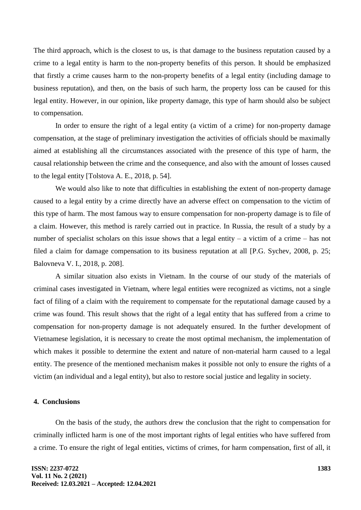The third approach, which is the closest to us, is that damage to the business reputation caused by a crime to a legal entity is harm to the non-property benefits of this person. It should be emphasized that firstly a crime causes harm to the non-property benefits of a legal entity (including damage to business reputation), and then, on the basis of such harm, the property loss can be caused for this legal entity. However, in our opinion, like property damage, this type of harm should also be subject to compensation.

In order to ensure the right of a legal entity (a victim of a crime) for non-property damage compensation, at the stage of preliminary investigation the activities of officials should be maximally aimed at establishing all the circumstances associated with the presence of this type of harm, the causal relationship between the crime and the consequence, and also with the amount of losses caused to the legal entity [Tolstova A. E., 2018, p. 54].

We would also like to note that difficulties in establishing the extent of non-property damage caused to a legal entity by a crime directly have an adverse effect on compensation to the victim of this type of harm. The most famous way to ensure compensation for non-property damage is to file of a claim. However, this method is rarely carried out in practice. In Russia, the result of a study by a number of specialist scholars on this issue shows that a legal entity – a victim of a crime – has not filed a claim for damage compensation to its business reputation at all [P.G. Sychev, 2008, p. 25; Balovneva V. I., 2018, p. 208].

A similar situation also exists in Vietnam. In the course of our study of the materials of criminal cases investigated in Vietnam, where legal entities were recognized as victims, not a single fact of filing of a claim with the requirement to compensate for the reputational damage caused by a crime was found. This result shows that the right of a legal entity that has suffered from a crime to compensation for non-property damage is not adequately ensured. In the further development of Vietnamese legislation, it is necessary to create the most optimal mechanism, the implementation of which makes it possible to determine the extent and nature of non-material harm caused to a legal entity. The presence of the mentioned mechanism makes it possible not only to ensure the rights of a victim (an individual and a legal entity), but also to restore social justice and legality in society.

## **4. Conclusions**

On the basis of the study, the authors drew the conclusion that the right to compensation for criminally inflicted harm is one of the most important rights of legal entities who have suffered from a crime. To ensure the right of legal entities, victims of crimes, for harm compensation, first of all, it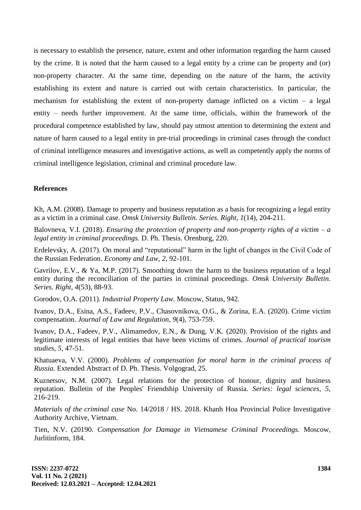is necessary to establish the presence, nature, extent and other information regarding the harm caused by the crime. It is noted that the harm caused to a legal entity by a crime can be property and (or) non-property character. At the same time, depending on the nature of the harm, the activity establishing its extent and nature is carried out with certain characteristics. In particular, the mechanism for establishing the extent of non-property damage inflicted on a victim  $-$  a legal entity – needs further improvement. At the same time, officials, within the framework of the procedural competence established by law, should pay utmost attention to determining the extent and nature of harm caused to a legal entity in pre-trial proceedings in criminal cases through the conduct of criminal intelligence measures and investigative actions, as well as competently apply the norms of criminal intelligence legislation, criminal and criminal procedure law.

### **References**

Kh, A.M. (2008). Damage to property and business reputation as a basis for recognizing a legal entity as a victim in a criminal case. *Omsk University Bulletin. Series. Right, 1*(14), 204-211.

Balovneva, V.I. (2018). *Ensuring the protection of property and non-property rights of a victim – a legal entity in criminal proceedings.* D. Ph. Thesis. Orenburg, 220.

Erdelevsky, A. (2017). On moral and "reputational" harm in the light of changes in the Civil Code of the Russian Federation. *Economy and Law, 2,* 92-101.

Gavrilov, E.V., & Ya, M.P. (2017). Smoothing down the harm to the business reputation of a legal entity during the reconciliation of the parties in criminal proceedings. *Omsk University Bulletin. Series. Right, 4*(53), 88-93.

Gorodov, O.A. (2011). *Industrial Property Law.* Moscow, Status, 942.

Ivanov, D.A., Esina, A.S., Fadeev, P.V., Chasovnikova, O.G., & Zorina, E.A. (2020). Crime victim compensation. *Journal of Law and Regulation, 9*(4), 753-759.

Ivanov, D.A., Fadeev, P.V., Alimamedov, E.N., & Dung, V.K. (2020). Provision of the rights and legitimate interests of legal entities that have been victims of crimes*. Journal of practical tourism studies, 5,* 47-51.

Khatuaeva, V.V. (2000). *Problems of compensation for moral harm in the criminal process of Russia.* Extended Abstract of D. Ph. Thesis. Volgograd, 25.

Kuznetsov, N.M. (2007). Legal relations for the protection of honour, dignity and business reputation. Bulletin of the Peoples' Friendship University of Russia. *Series: legal sciences, 5,* 216-219.

*Materials of the criminal case* No. 14/2018 / HS. 2018. Khanh Hoa Provincial Police Investigative Authority Archive, Vietnam.

Tien, N.V. (20190. *Compensation for Damage in Vietnamese Criminal Proceedings.* Moscow, Jurlitinform, 184.